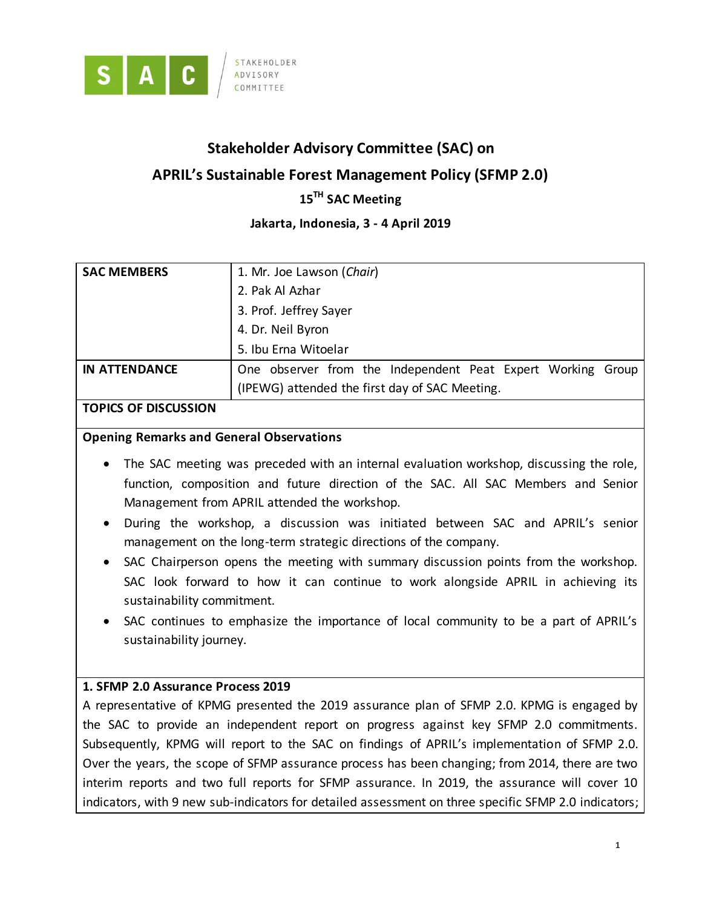

# **Stakeholder Advisory Committee (SAC) on**

# **APRIL's Sustainable Forest Management Policy (SFMP 2.0)**

# **15 TH SAC Meeting**

### **Jakarta, Indonesia, 3 - 4 April 2019**

| <b>SAC MEMBERS</b>   | 1. Mr. Joe Lawson (Chair)                                   |
|----------------------|-------------------------------------------------------------|
|                      | 2. Pak Al Azhar                                             |
|                      | 3. Prof. Jeffrey Sayer                                      |
|                      | 4. Dr. Neil Byron                                           |
|                      | 5. Ibu Erna Witoelar                                        |
| <b>IN ATTENDANCE</b> | One observer from the Independent Peat Expert Working Group |
|                      | (IPEWG) attended the first day of SAC Meeting.              |

#### **TOPICS OF DISCUSSION**

### **Opening Remarks and General Observations**

- The SAC meeting was preceded with an internal evaluation workshop, discussing the role, function, composition and future direction of the SAC. All SAC Members and Senior Management from APRIL attended the workshop.
- During the workshop, a discussion was initiated between SAC and APRIL's senior management on the long-term strategic directions of the company.
- SAC Chairperson opens the meeting with summary discussion points from the workshop. SAC look forward to how it can continue to work alongside APRIL in achieving its sustainability commitment.
- SAC continues to emphasize the importance of local community to be a part of APRIL's sustainability journey.

### **1. SFMP 2.0 Assurance Process 2019**

A representative of KPMG presented the 2019 assurance plan of SFMP 2.0. KPMG is engaged by the SAC to provide an independent report on progress against key SFMP 2.0 commitments. Subsequently, KPMG will report to the SAC on findings of APRIL's implementation of SFMP 2.0. Over the years, the scope of SFMP assurance process has been changing; from 2014, there are two interim reports and two full reports for SFMP assurance. In 2019, the assurance will cover 10 indicators, with 9 new sub-indicators for detailed assessment on three specific SFMP 2.0 indicators;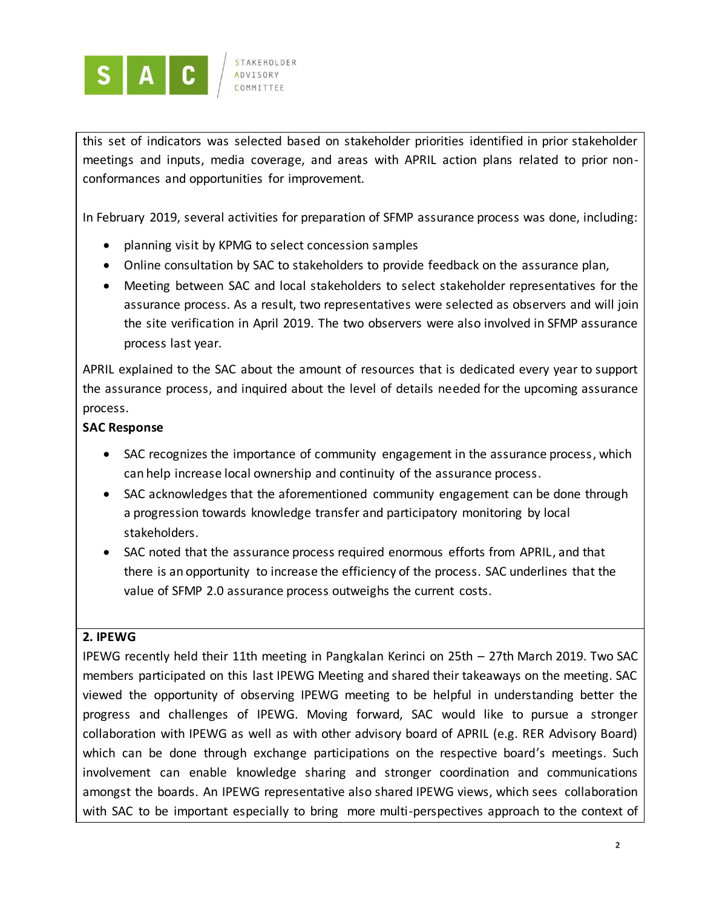

**STAKFHOLDER ADVISORY** COMMITTEE

this set of indicators was selected based on stakeholder priorities identified in prior stakeholder meetings and inputs, media coverage, and areas with APRIL action plans related to prior nonconformances and opportunities for improvement.

In February 2019, several activities for preparation of SFMP assurance process was done, including:

- planning visit by KPMG to select concession samples
- Online consultation by SAC to stakeholders to provide feedback on the assurance plan,
- Meeting between SAC and local stakeholders to select stakeholder representatives for the assurance process. As a result, two representatives were selected as observers and will join the site verification in April 2019. The two observers were also involved in SFMP assurance process last year.

APRIL explained to the SAC about the amount of resources that is dedicated every year to support the assurance process, and inquired about the level of details needed for the upcoming assurance process.

### **SAC Response**

- SAC recognizes the importance of community engagement in the assurance process, which can help increase local ownership and continuity of the assurance process.
- SAC acknowledges that the aforementioned community engagement can be done through a progression towards knowledge transfer and participatory monitoring by local stakeholders.
- SAC noted that the assurance process required enormous efforts from APRIL, and that there is an opportunity to increase the efficiency of the process. SAC underlines that the value of SFMP 2.0 assurance process outweighs the current costs.

### **2. IPEWG**

IPEWG recently held their 11th meeting in Pangkalan Kerinci on 25th – 27th March 2019. Two SAC members participated on this last IPEWG Meeting and shared their takeaways on the meeting. SAC viewed the opportunity of observing IPEWG meeting to be helpful in understanding better the progress and challenges of IPEWG. Moving forward, SAC would like to pursue a stronger collaboration with IPEWG as well as with other advisory board of APRIL (e.g. RER Advisory Board) which can be done through exchange participations on the respective board's meetings. Such involvement can enable knowledge sharing and stronger coordination and communications amongst the boards. An IPEWG representative also shared IPEWG views, which sees collaboration with SAC to be important especially to bring more multi-perspectives approach to the context of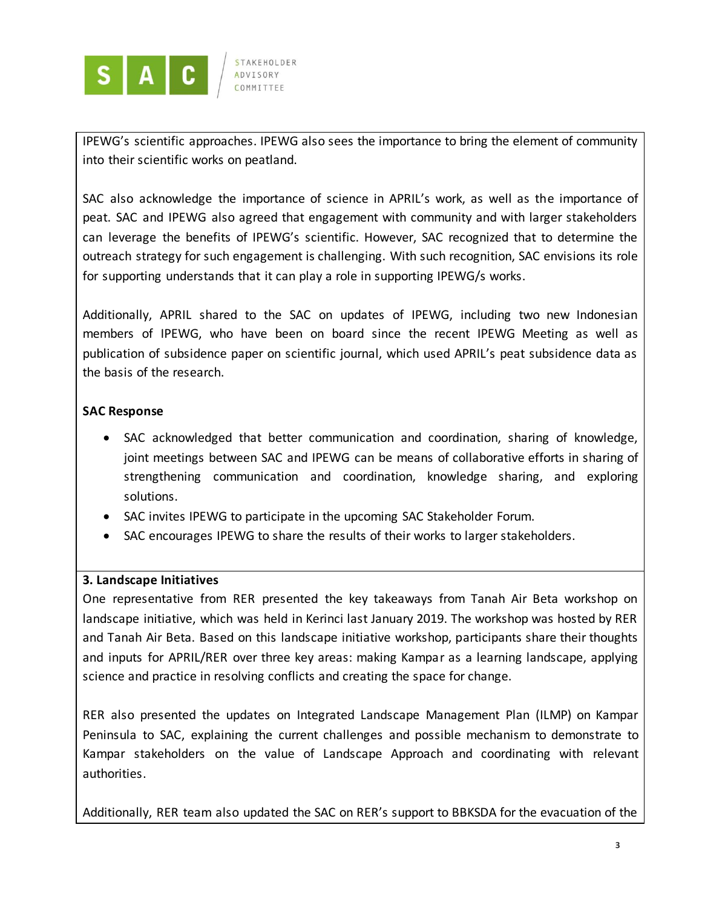

IPEWG's scientific approaches. IPEWG also sees the importance to bring the element of community into their scientific works on peatland.

SAC also acknowledge the importance of science in APRIL's work, as well as the importance of peat. SAC and IPEWG also agreed that engagement with community and with larger stakeholders can leverage the benefits of IPEWG's scientific. However, SAC recognized that to determine the outreach strategy for such engagement is challenging. With such recognition, SAC envisions its role for supporting understands that it can play a role in supporting IPEWG/s works.

Additionally, APRIL shared to the SAC on updates of IPEWG, including two new Indonesian members of IPEWG, who have been on board since the recent IPEWG Meeting as well as publication of subsidence paper on scientific journal, which used APRIL's peat subsidence data as the basis of the research.

# **SAC Response**

- SAC acknowledged that better communication and coordination, sharing of knowledge, joint meetings between SAC and IPEWG can be means of collaborative efforts in sharing of strengthening communication and coordination, knowledge sharing, and exploring solutions.
- SAC invites IPEWG to participate in the upcoming SAC Stakeholder Forum.
- SAC encourages IPEWG to share the results of their works to larger stakeholders.

### **3. Landscape Initiatives**

One representative from RER presented the key takeaways from Tanah Air Beta workshop on landscape initiative, which was held in Kerinci last January 2019. The workshop was hosted by RER and Tanah Air Beta. Based on this landscape initiative workshop, participants share their thoughts and inputs for APRIL/RER over three key areas: making Kampar as a learning landscape, applying science and practice in resolving conflicts and creating the space for change.

RER also presented the updates on Integrated Landscape Management Plan (ILMP) on Kampar Peninsula to SAC, explaining the current challenges and possible mechanism to demonstrate to Kampar stakeholders on the value of Landscape Approach and coordinating with relevant authorities.

Additionally, RER team also updated the SAC on RER's support to BBKSDA for the evacuation of the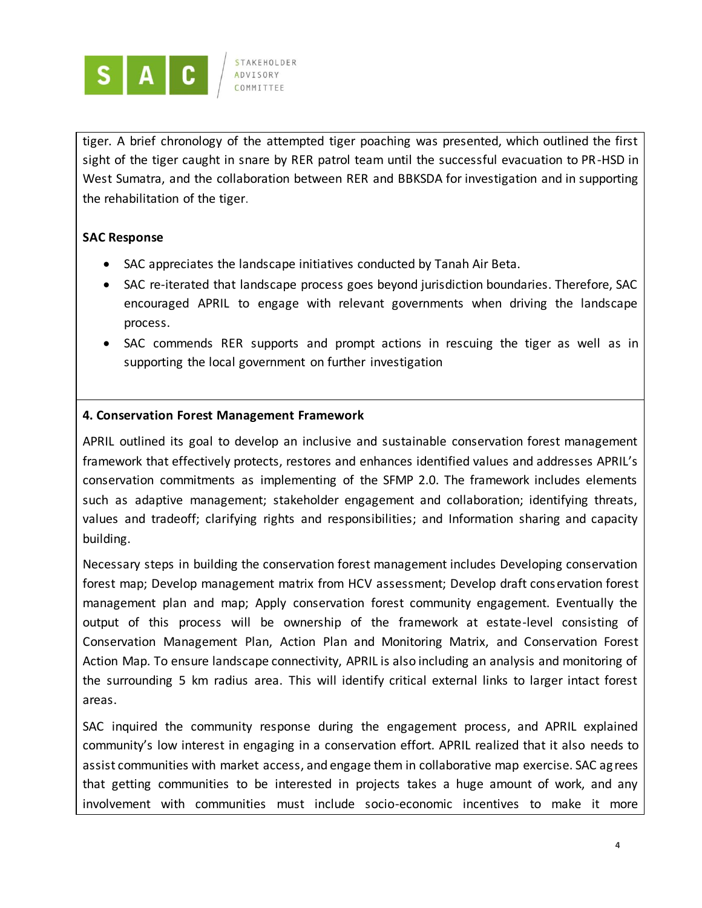

**ADVISORY** COMMITTEE

tiger. A brief chronology of the attempted tiger poaching was presented, which outlined the first sight of the tiger caught in snare by RER patrol team until the successful evacuation to PR-HSD in West Sumatra, and the collaboration between RER and BBKSDA for investigation and in supporting the rehabilitation of the tiger.

# **SAC Response**

- SAC appreciates the landscape initiatives conducted by Tanah Air Beta.
- SAC re-iterated that landscape process goes beyond jurisdiction boundaries. Therefore, SAC encouraged APRIL to engage with relevant governments when driving the landscape process.
- SAC commends RER supports and prompt actions in rescuing the tiger as well as in supporting the local government on further investigation

# **4. Conservation Forest Management Framework**

APRIL outlined its goal to develop an inclusive and sustainable conservation forest management framework that effectively protects, restores and enhances identified values and addresses APRIL's conservation commitments as implementing of the SFMP 2.0. The framework includes elements such as adaptive management; stakeholder engagement and collaboration; identifying threats, values and tradeoff; clarifying rights and responsibilities; and Information sharing and capacity building.

Necessary steps in building the conservation forest management includes Developing conservation forest map; Develop management matrix from HCV assessment; Develop draft conservation forest management plan and map; Apply conservation forest community engagement. Eventually the output of this process will be ownership of the framework at estate-level consisting of Conservation Management Plan, Action Plan and Monitoring Matrix, and Conservation Forest Action Map. To ensure landscape connectivity, APRIL is also including an analysis and monitoring of the surrounding 5 km radius area. This will identify critical external links to larger intact forest areas.

SAC inquired the community response during the engagement process, and APRIL explained community's low interest in engaging in a conservation effort. APRIL realized that it also needs to assist communities with market access, and engage them in collaborative map exercise. SAC ag rees that getting communities to be interested in projects takes a huge amount of work, and any involvement with communities must include socio-economic incentives to make it more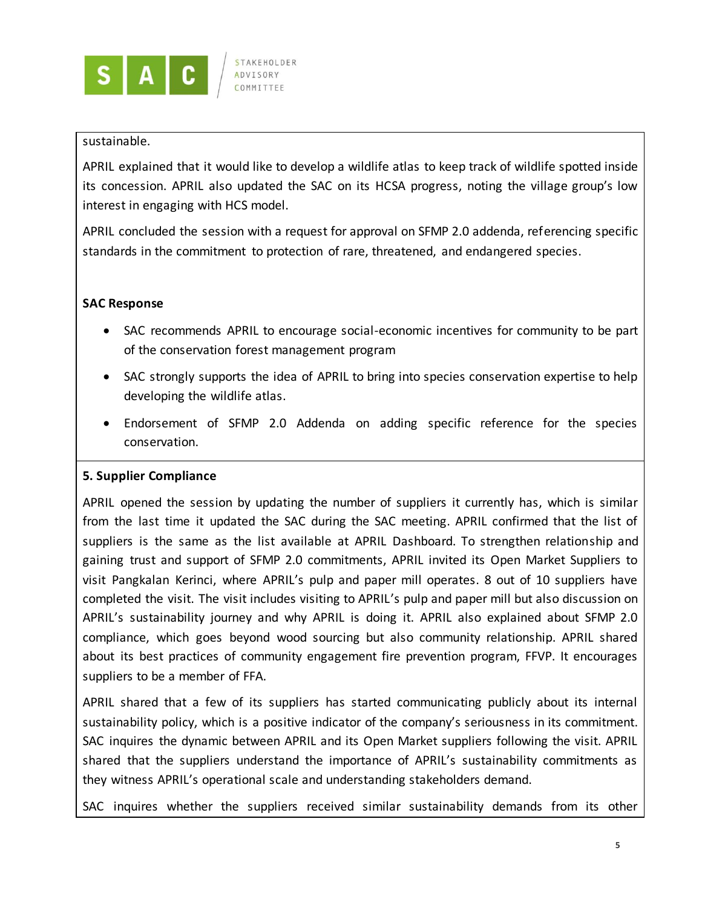

### sustainable.

APRIL explained that it would like to develop a wildlife atlas to keep track of wildlife spotted inside its concession. APRIL also updated the SAC on its HCSA progress, noting the village group's low interest in engaging with HCS model.

APRIL concluded the session with a request for approval on SFMP 2.0 addenda, referencing specific standards in the commitment to protection of rare, threatened, and endangered species.

### **SAC Response**

- SAC recommends APRIL to encourage social-economic incentives for community to be part of the conservation forest management program
- SAC strongly supports the idea of APRIL to bring into species conservation expertise to help developing the wildlife atlas.
- Endorsement of SFMP 2.0 Addenda on adding specific reference for the species conservation.

### **5. Supplier Compliance**

APRIL opened the session by updating the number of suppliers it currently has, which is similar from the last time it updated the SAC during the SAC meeting. APRIL confirmed that the list of suppliers is the same as the list available at APRIL Dashboard. To strengthen relationship and gaining trust and support of SFMP 2.0 commitments, APRIL invited its Open Market Suppliers to visit Pangkalan Kerinci, where APRIL's pulp and paper mill operates. 8 out of 10 suppliers have completed the visit. The visit includes visiting to APRIL's pulp and paper mill but also discussion on APRIL's sustainability journey and why APRIL is doing it. APRIL also explained about SFMP 2.0 compliance, which goes beyond wood sourcing but also community relationship. APRIL shared about its best practices of community engagement fire prevention program, FFVP. It encourages suppliers to be a member of FFA.

APRIL shared that a few of its suppliers has started communicating publicly about its internal sustainability policy, which is a positive indicator of the company's seriousness in its commitment. SAC inquires the dynamic between APRIL and its Open Market suppliers following the visit. APRIL shared that the suppliers understand the importance of APRIL's sustainability commitments as they witness APRIL's operational scale and understanding stakeholders demand.

SAC inquires whether the suppliers received similar sustainability demands from its other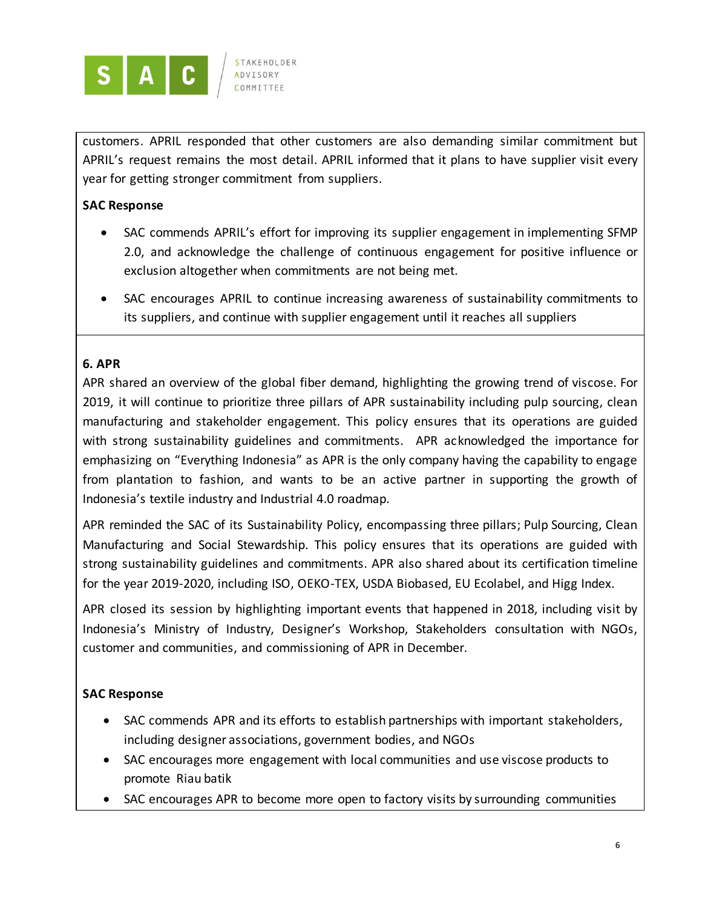

ADVISORY

customers. APRIL responded that other customers are also demanding similar commitment but APRIL's request remains the most detail. APRIL informed that it plans to have supplier visit every year for getting stronger commitment from suppliers.

# **SAC Response**

- SAC commends APRIL's effort for improving its supplier engagement in implementing SFMP 2.0, and acknowledge the challenge of continuous engagement for positive influence or exclusion altogether when commitments are not being met.
- SAC encourages APRIL to continue increasing awareness of sustainability commitments to its suppliers, and continue with supplier engagement until it reaches all suppliers

# **6. APR**

APR shared an overview of the global fiber demand, highlighting the growing trend of viscose. For 2019, it will continue to prioritize three pillars of APR sustainability including pulp sourcing, clean manufacturing and stakeholder engagement. This policy ensures that its operations are guided with strong sustainability guidelines and commitments. APR acknowledged the importance for emphasizing on "Everything Indonesia" as APR is the only company having the capability to engage from plantation to fashion, and wants to be an active partner in supporting the growth of Indonesia's textile industry and Industrial 4.0 roadmap.

APR reminded the SAC of its Sustainability Policy, encompassing three pillars; Pulp Sourcing, Clean Manufacturing and Social Stewardship. This policy ensures that its operations are guided with strong sustainability guidelines and commitments. APR also shared about its certification timeline for the year 2019-2020, including ISO, OEKO-TEX, USDA Biobased, EU Ecolabel, and Higg Index.

APR closed its session by highlighting important events that happened in 2018, including visit by Indonesia's Ministry of Industry, Designer's Workshop, Stakeholders consultation with NGOs, customer and communities, and commissioning of APR in December.

# **SAC Response**

- SAC commends APR and its efforts to establish partnerships with important stakeholders, including designer associations, government bodies, and NGOs
- SAC encourages more engagement with local communities and use viscose products to promote Riau batik
- SAC encourages APR to become more open to factory visits by surrounding communities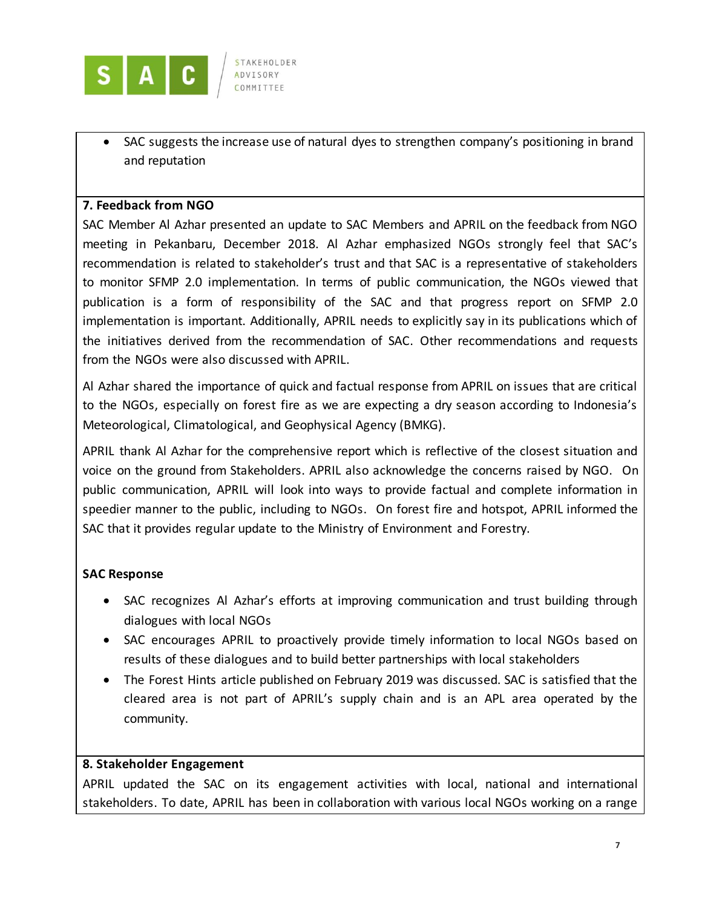

 SAC suggests the increase use of natural dyes to strengthen company's positioning in brand and reputation

### **7. Feedback from NGO**

SAC Member Al Azhar presented an update to SAC Members and APRIL on the feedback from NGO meeting in Pekanbaru, December 2018. Al Azhar emphasized NGOs strongly feel that SAC's recommendation is related to stakeholder's trust and that SAC is a representative of stakeholders to monitor SFMP 2.0 implementation. In terms of public communication, the NGOs viewed that publication is a form of responsibility of the SAC and that progress report on SFMP 2.0 implementation is important. Additionally, APRIL needs to explicitly say in its publications which of the initiatives derived from the recommendation of SAC. Other recommendations and requests from the NGOs were also discussed with APRIL.

Al Azhar shared the importance of quick and factual response from APRIL on issues that are critical to the NGOs, especially on forest fire as we are expecting a dry season according to Indonesia's Meteorological, Climatological, and Geophysical Agency (BMKG).

APRIL thank Al Azhar for the comprehensive report which is reflective of the closest situation and voice on the ground from Stakeholders. APRIL also acknowledge the concerns raised by NGO. On public communication, APRIL will look into ways to provide factual and complete information in speedier manner to the public, including to NGOs. On forest fire and hotspot, APRIL informed the SAC that it provides regular update to the Ministry of Environment and Forestry.

# **SAC Response**

- SAC recognizes Al Azhar's efforts at improving communication and trust building through dialogues with local NGOs
- SAC encourages APRIL to proactively provide timely information to local NGOs based on results of these dialogues and to build better partnerships with local stakeholders
- The Forest Hints article published on February 2019 was discussed. SAC is satisfied that the cleared area is not part of APRIL's supply chain and is an APL area operated by the community.

### **8. Stakeholder Engagement**

APRIL updated the SAC on its engagement activities with local, national and international stakeholders. To date, APRIL has been in collaboration with various local NGOs working on a range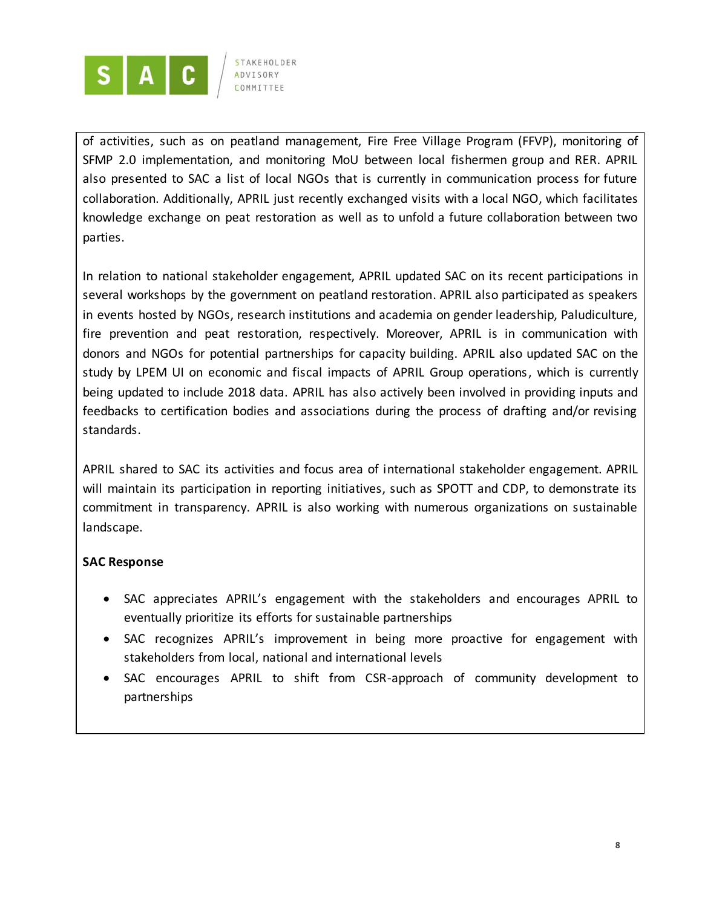

of activities, such as on peatland management, Fire Free Village Program (FFVP), monitoring of SFMP 2.0 implementation, and monitoring MoU between local fishermen group and RER. APRIL also presented to SAC a list of local NGOs that is currently in communication process for future collaboration. Additionally, APRIL just recently exchanged visits with a local NGO, which facilitates knowledge exchange on peat restoration as well as to unfold a future collaboration between two parties.

In relation to national stakeholder engagement, APRIL updated SAC on its recent participations in several workshops by the government on peatland restoration. APRIL also participated as speakers in events hosted by NGOs, research institutions and academia on gender leadership, Paludiculture, fire prevention and peat restoration, respectively. Moreover, APRIL is in communication with donors and NGOs for potential partnerships for capacity building. APRIL also updated SAC on the study by LPEM UI on economic and fiscal impacts of APRIL Group operations, which is currently being updated to include 2018 data. APRIL has also actively been involved in providing inputs and feedbacks to certification bodies and associations during the process of drafting and/or revising standards.

APRIL shared to SAC its activities and focus area of international stakeholder engagement. APRIL will maintain its participation in reporting initiatives, such as SPOTT and CDP, to demonstrate its commitment in transparency. APRIL is also working with numerous organizations on sustainable landscape.

### **SAC Response**

- SAC appreciates APRIL's engagement with the stakeholders and encourages APRIL to eventually prioritize its efforts for sustainable partnerships
- SAC recognizes APRIL's improvement in being more proactive for engagement with stakeholders from local, national and international levels
- SAC encourages APRIL to shift from CSR-approach of community development to partnerships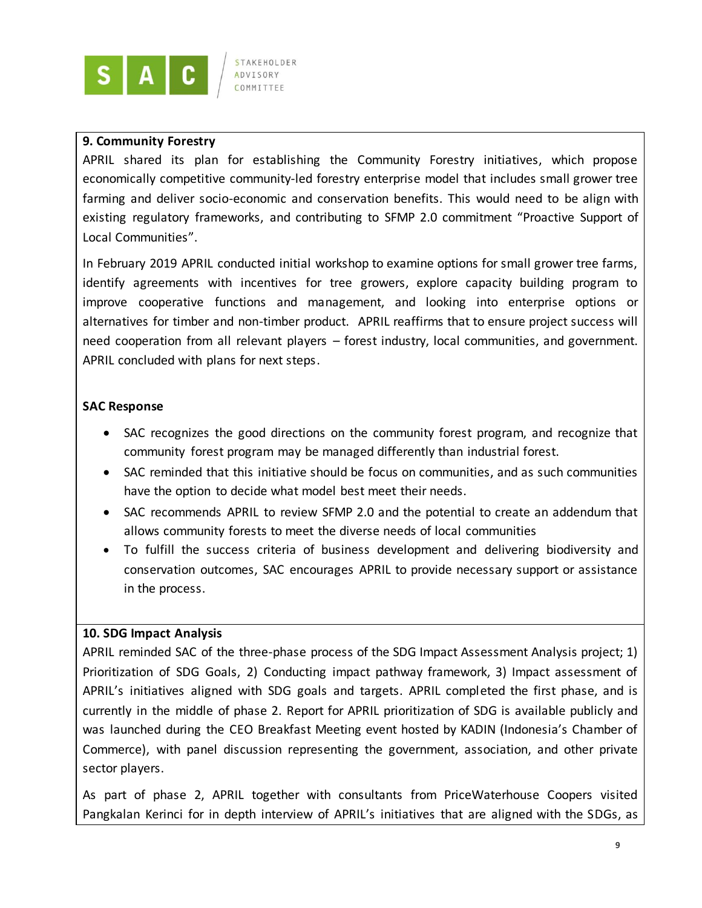

STAKEHOLDER **ADVISORY** COMMITTEE

### **9. Community Forestry**

APRIL shared its plan for establishing the Community Forestry initiatives, which propose economically competitive community-led forestry enterprise model that includes small grower tree farming and deliver socio-economic and conservation benefits. This would need to be align with existing regulatory frameworks, and contributing to SFMP 2.0 commitment "Proactive Support of Local Communities".

In February 2019 APRIL conducted initial workshop to examine options for small grower tree farms, identify agreements with incentives for tree growers, explore capacity building program to improve cooperative functions and management, and looking into enterprise options or alternatives for timber and non-timber product. APRIL reaffirms that to ensure project success will need cooperation from all relevant players – forest industry, local communities, and government. APRIL concluded with plans for next steps.

### **SAC Response**

- SAC recognizes the good directions on the community forest program, and recognize that community forest program may be managed differently than industrial forest.
- SAC reminded that this initiative should be focus on communities, and as such communities have the option to decide what model best meet their needs.
- SAC recommends APRIL to review SFMP 2.0 and the potential to create an addendum that allows community forests to meet the diverse needs of local communities
- To fulfill the success criteria of business development and delivering biodiversity and conservation outcomes, SAC encourages APRIL to provide necessary support or assistance in the process.

#### **10. SDG Impact Analysis**

APRIL reminded SAC of the three-phase process of the SDG Impact Assessment Analysis project; 1) Prioritization of SDG Goals, 2) Conducting impact pathway framework, 3) Impact assessment of APRIL's initiatives aligned with SDG goals and targets. APRIL completed the first phase, and is currently in the middle of phase 2. Report for APRIL prioritization of SDG is available publicly and was launched during the CEO Breakfast Meeting event hosted by KADIN (Indonesia's Chamber of Commerce), with panel discussion representing the government, association, and other private sector players.

As part of phase 2, APRIL together with consultants from PriceWaterhouse Coopers visited Pangkalan Kerinci for in depth interview of APRIL's initiatives that are aligned with the SDGs, as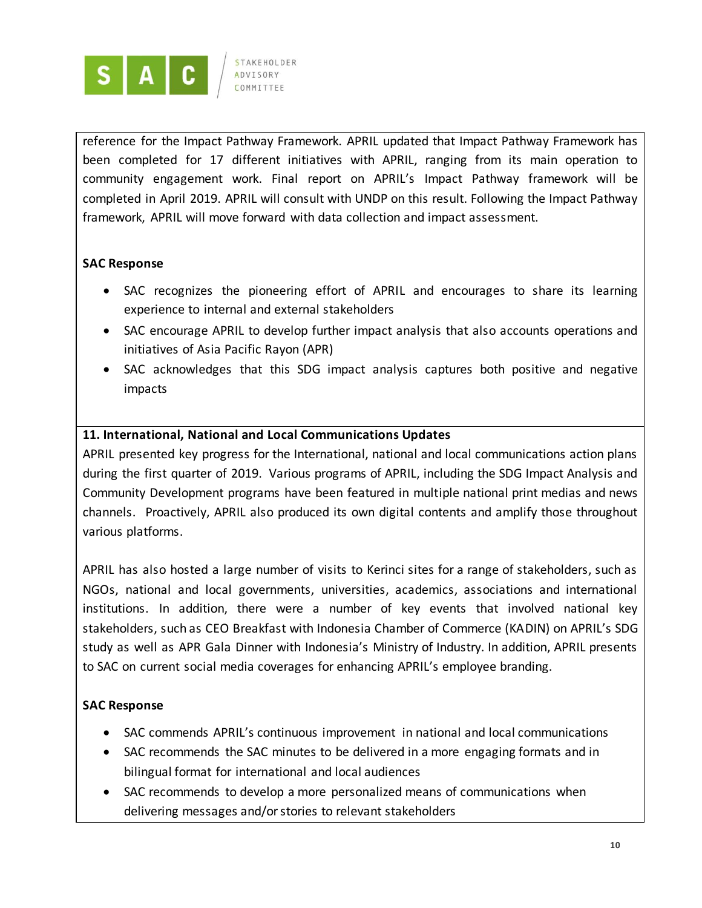

reference for the Impact Pathway Framework. APRIL updated that Impact Pathway Framework has been completed for 17 different initiatives with APRIL, ranging from its main operation to community engagement work. Final report on APRIL's Impact Pathway framework will be completed in April 2019. APRIL will consult with UNDP on this result. Following the Impact Pathway framework, APRIL will move forward with data collection and impact assessment.

### **SAC Response**

- SAC recognizes the pioneering effort of APRIL and encourages to share its learning experience to internal and external stakeholders
- SAC encourage APRIL to develop further impact analysis that also accounts operations and initiatives of Asia Pacific Rayon (APR)
- SAC acknowledges that this SDG impact analysis captures both positive and negative impacts

# **11. International, National and Local Communications Updates**

APRIL presented key progress for the International, national and local communications action plans during the first quarter of 2019. Various programs of APRIL, including the SDG Impact Analysis and Community Development programs have been featured in multiple national print medias and news channels. Proactively, APRIL also produced its own digital contents and amplify those throughout various platforms.

APRIL has also hosted a large number of visits to Kerinci sites for a range of stakeholders, such as NGOs, national and local governments, universities, academics, associations and international institutions. In addition, there were a number of key events that involved national key stakeholders, such as CEO Breakfast with Indonesia Chamber of Commerce (KADIN) on APRIL's SDG study as well as APR Gala Dinner with Indonesia's Ministry of Industry. In addition, APRIL presents to SAC on current social media coverages for enhancing APRIL's employee branding.

### **SAC Response**

- SAC commends APRIL's continuous improvement in national and local communications
- SAC recommends the SAC minutes to be delivered in a more engaging formats and in bilingual format for international and local audiences
- SAC recommends to develop a more personalized means of communications when delivering messages and/or stories to relevant stakeholders